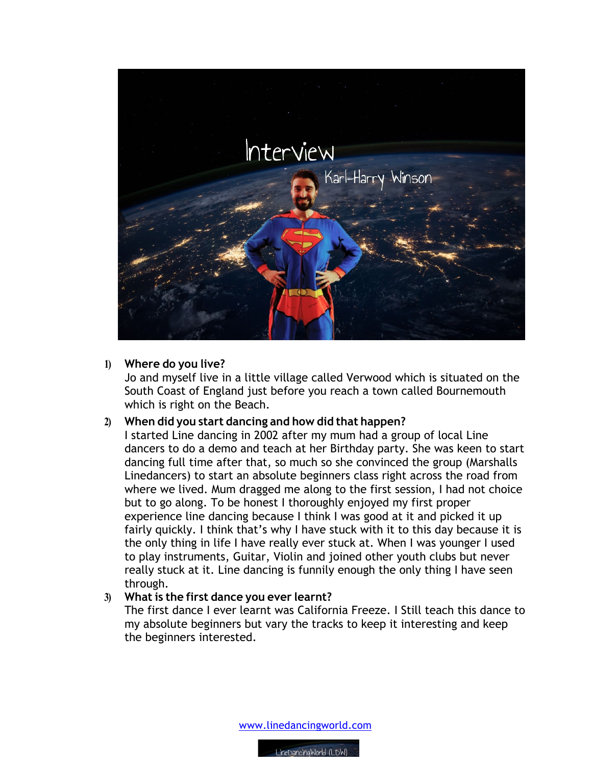

## **1) Where do you live?**

Jo and myself live in a little village called Verwood which is situated on the South Coast of England just before you reach a town called Bournemouth which is right on the Beach.

## **2) When did you start dancing and how did that happen?**

I started Line dancing in 2002 after my mum had a group of local Line dancers to do a demo and teach at her Birthday party. She was keen to start dancing full time after that, so much so she convinced the group (Marshalls Linedancers) to start an absolute beginners class right across the road from where we lived. Mum dragged me along to the first session, I had not choice but to go along. To be honest I thoroughly enjoyed my first proper experience line dancing because I think I was good at it and picked it up fairly quickly. I think that's why I have stuck with it to this day because it is the only thing in life I have really ever stuck at. When I was younger I used to play instruments, Guitar, Violin and joined other youth clubs but never really stuck at it. Line dancing is funnily enough the only thing I have seen through.

## **3) What is the first dance you ever learnt?**

The first dance I ever learnt was California Freeze. I Still teach this dance to my absolute beginners but vary the tracks to keep it interesting and keep the beginners interested.

www.linedancingworld.com

LineDancingWorld (LDW)